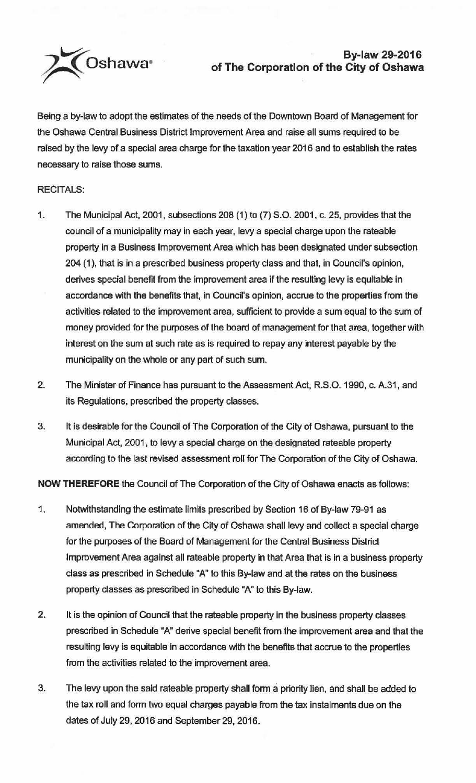

## **By-law 29-2016 of The Corporation of the City of Oshawa**

Being a by-law to adopt the estimates of the needs of the Downtown Board of Management for the Oshawa Central Business District Improvement Area and raise all sums required to be raised by the levy of a special area charge for the taxation year 2016 and to establish the rates necessary to raise those sums.

## RECITALS:

- 1. The Municipal Act, 2001, subsections 208 (1) to (7) S.O. 2001, c. 25, provides that the council of a municipality may in each year, levy a special charge upon the rateable property in a Business Improvement Area which has been designated under subsection 204 (1), that is in a prescribed business property class and that, in Council's opinion, derives special benefit from the improvement area if the resulting levy is equitable in accordance with the benefits that, in Council's opinion, accrue to the properties from the activities related to the improvement area, sufficient to provide a sum equal to the sum of money provided for the purposes of the board of management for that area, together with interest on the sum at such rate as is required to repay any interest payable by the municipality on the whole or any part of such sum.
- 2. The Minister of Finance has pursuant to the Assessment Act, R.S.O. 1990, c. A.31, and its Regulations. prescribed the property classes.
- 3. It is desirable for the Council of The Corporation of the City of Oshawa, pursuant to the Municipal Act, 2001, to levy a special charge on the designated rateable property according to the last revised assessment roll for The Corporation of the City of Oshawa.

**NOW THEREFORE** the Council of The Corporation of the City of Oshawa enacts as follows:

- 1. Notwithstanding the estimate limits prescribed by Section 16 of By-law 79-91 as amended, The Corporation of the City of Oshawa shall levy and collect a special charge for the purposes of the Board of Management for the Central Business District Improvement Area against all rateable property in that Area that is in a business property class as prescribed in Schedule "A" to this By-law and at the rates on the business property classes as prescribed in Schedule "A" to this By-law.
- 2. It is the opinion of Council that the rateable property in the business property classes prescribed in Schedule "A" derive special benefit from the improvement area and that the resulting levy is equitable in accordance with the benefits that accrue to the properties from the activities related to the improvement area.
- 3. The levy upon the said rateable property shall form a priority lien, and shall be added to the tax roll and fonn two equal charges payable from the tax instalments due on the dates of July 29, 2016 and September 29, 2016.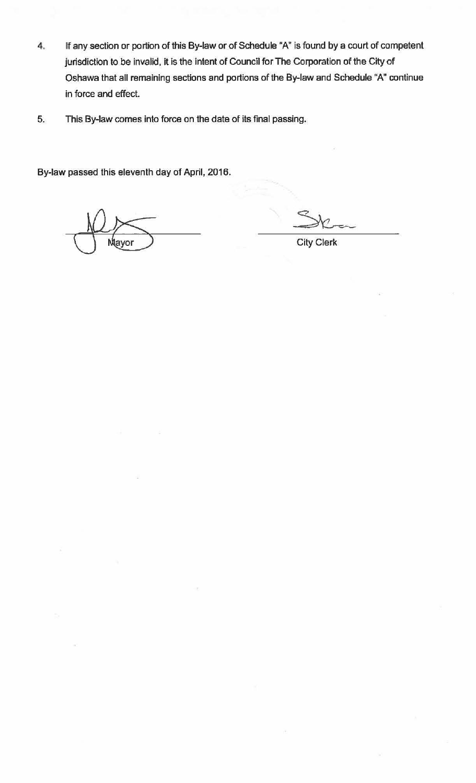- **4. tf** any section or portion of this By-law or of Schedule "A" is found by a court of competent Jurisdiction to be invalid, it is the intent of Council for The Corporation of the City of Oshawa that all remaining sections and portions of the By-law and Schedule "A" continue in force and effect.
- 5. This By-law comes into force on the date of its final passing.

By-law passed this eleventh day of April, 2016.

City Clerk